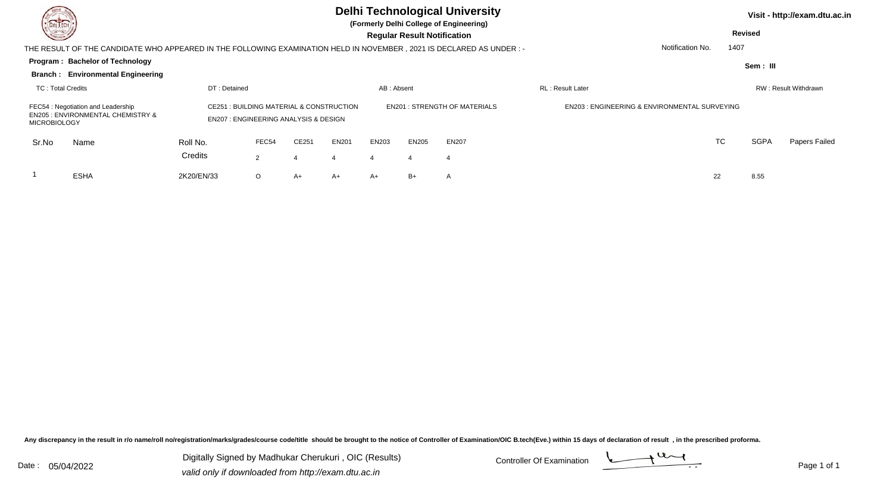| DEL TECH                 |                                                                                                                      |                                                 |               |                                                    |       |            |                                    | <b>Delhi Technological University</b><br>(Formerly Delhi College of Engineering) |                                                         |                  |      |                | Visit - http://exam.dtu.ac.in |
|--------------------------|----------------------------------------------------------------------------------------------------------------------|-------------------------------------------------|---------------|----------------------------------------------------|-------|------------|------------------------------------|----------------------------------------------------------------------------------|---------------------------------------------------------|------------------|------|----------------|-------------------------------|
| <b>NOTES</b>             |                                                                                                                      |                                                 |               |                                                    |       |            | <b>Regular Result Notification</b> |                                                                                  |                                                         |                  |      | <b>Revised</b> |                               |
|                          | THE RESULT OF THE CANDIDATE WHO APPEARED IN THE FOLLOWING EXAMINATION HELD IN NOVEMBER, 2021 IS DECLARED AS UNDER :- |                                                 |               |                                                    |       |            |                                    |                                                                                  |                                                         | Notification No. | 1407 |                |                               |
|                          | Program: Bachelor of Technology                                                                                      |                                                 |               |                                                    |       |            |                                    |                                                                                  |                                                         |                  |      | Sem: III       |                               |
|                          | <b>Branch: Environmental Engineering</b>                                                                             |                                                 |               |                                                    |       |            |                                    |                                                                                  |                                                         |                  |      |                |                               |
| <b>TC: Total Credits</b> |                                                                                                                      | DT: Detained                                    |               |                                                    |       | AB: Absent |                                    |                                                                                  | <b>RL</b> : Result Later                                |                  |      |                | RW: Result Withdrawn          |
| <b>MICROBIOLOGY</b>      | FEC54 : Negotiation and Leadership<br><b>EN205 : ENVIRONMENTAL CHEMISTRY &amp;</b>                                   | <b>EN207: ENGINEERING ANALYSIS &amp; DESIGN</b> |               | <b>CE251: BUILDING MATERIAL &amp; CONSTRUCTION</b> |       |            |                                    | <b>EN201: STRENGTH OF MATERIALS</b>                                              | <b>EN203: ENGINEERING &amp; ENVIRONMENTAL SURVEYING</b> |                  |      |                |                               |
| Sr.No                    | Name                                                                                                                 | Roll No.                                        | FEC54         | CE251                                              | EN201 | EN203      | <b>EN205</b>                       | <b>EN207</b>                                                                     |                                                         |                  | TC   | <b>SGPA</b>    | Papers Failed                 |
|                          |                                                                                                                      | Credits                                         | $\mathcal{P}$ | $\overline{4}$                                     |       |            | 4                                  | -4                                                                               |                                                         |                  |      |                |                               |
|                          | <b>ESHA</b>                                                                                                          | 2K20/EN/33                                      | $\circ$       | $A+$                                               | A+    | $A+$       | $B+$                               | A                                                                                |                                                         | 22               |      | 8.55           |                               |

Digitally Signed by Madhukar Cherukuri, OIC (Results) Controller Of Examination Controller Of Examination Digitally Signed by Madhukar Cherukuri , OIC (Results)valid only if downloaded from http://exam.dtu.ac.in

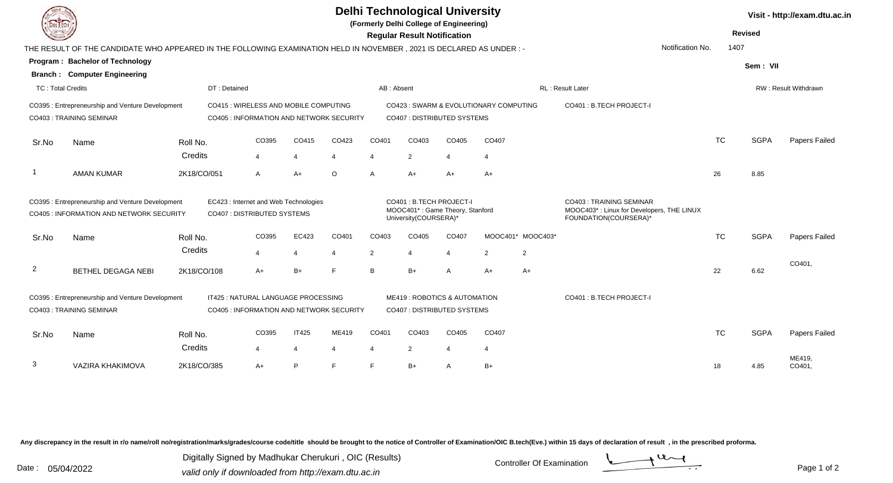| <b>DELTECH</b>           |                                                                                                                     |                     |                                                                                   |                                |            |                         | <b>Delhi Technological University</b><br>(Formerly Delhi College of Engineering)<br><b>Regular Result Notification</b> |                         |                                        |                   |                                                                                                |                  |           | <b>Revised</b> | Visit - http://exam.dtu.ac.in |
|--------------------------|---------------------------------------------------------------------------------------------------------------------|---------------------|-----------------------------------------------------------------------------------|--------------------------------|------------|-------------------------|------------------------------------------------------------------------------------------------------------------------|-------------------------|----------------------------------------|-------------------|------------------------------------------------------------------------------------------------|------------------|-----------|----------------|-------------------------------|
|                          | THE RESULT OF THE CANDIDATE WHO APPEARED IN THE FOLLOWING EXAMINATION HELD IN NOVEMBER, 2021 IS DECLARED AS UNDER:- |                     |                                                                                   |                                |            |                         |                                                                                                                        |                         |                                        |                   |                                                                                                | Notification No. | 1407      |                |                               |
|                          | <b>Program: Bachelor of Technology</b>                                                                              |                     |                                                                                   |                                |            |                         |                                                                                                                        |                         |                                        |                   |                                                                                                |                  |           | Sem: VII       |                               |
|                          | <b>Branch: Computer Engineering</b>                                                                                 |                     |                                                                                   |                                |            |                         |                                                                                                                        |                         |                                        |                   |                                                                                                |                  |           |                |                               |
| <b>TC: Total Credits</b> |                                                                                                                     | DT: Detained        |                                                                                   |                                |            | AB: Absent              |                                                                                                                        |                         |                                        |                   | RL: Result Later                                                                               |                  |           |                | RW: Result Withdrawn          |
|                          | CO395 : Entrepreneurship and Venture Development<br><b>CO403: TRAINING SEMINAR</b>                                  |                     | CO415 : WIRELESS AND MOBILE COMPUTING<br>CO405 : INFORMATION AND NETWORK SECURITY |                                |            |                         | CO407 : DISTRIBUTED SYSTEMS                                                                                            |                         | CO423 : SWARM & EVOLUTIONARY COMPUTING |                   | CO401 : B.TECH PROJECT-I                                                                       |                  |           |                |                               |
| Sr.No                    | Name                                                                                                                | Roll No.            | CO395                                                                             | CO415                          | CO423      | CO401                   | CO403                                                                                                                  | CO405                   | CO407                                  |                   |                                                                                                |                  | <b>TC</b> | <b>SGPA</b>    | Papers Failed                 |
|                          |                                                                                                                     | Credits             | $\overline{4}$                                                                    | $\overline{4}$                 | 4          | $\overline{4}$          | 2                                                                                                                      | $\overline{4}$          | 4                                      |                   |                                                                                                |                  |           |                |                               |
|                          | <b>AMAN KUMAR</b>                                                                                                   | 2K18/CO/051         | $\overline{A}$                                                                    | $A+$                           | $\circ$    | A                       | $A+$                                                                                                                   | $A+$                    | $A+$                                   |                   |                                                                                                |                  | 26        | 8.85           |                               |
|                          | CO395 : Entrepreneurship and Venture Development<br>CO405 : INFORMATION AND NETWORK SECURITY                        |                     | EC423 : Internet and Web Technologies<br>CO407 : DISTRIBUTED SYSTEMS              |                                |            |                         | CO401 : B.TECH PROJECT-I<br>MOOC401*: Game Theory, Stanford<br>University(COURSERA)*                                   |                         |                                        |                   | CO403 : TRAINING SEMINAR<br>MOOC403*: Linux for Developers, THE LINUX<br>FOUNDATION(COURSERA)* |                  |           |                |                               |
| Sr.No                    | Name                                                                                                                | Roll No.            | CO395                                                                             | EC423                          | CO401      | CO403                   | CO405                                                                                                                  | CO407                   |                                        | MOOC401* MOOC403* |                                                                                                |                  | <b>TC</b> | <b>SGPA</b>    | Papers Failed                 |
|                          |                                                                                                                     | Credits             | $\overline{4}$                                                                    | $\overline{4}$                 | 4          | $\overline{2}$          |                                                                                                                        | 4                       | $\overline{2}$                         | $\overline{2}$    |                                                                                                |                  |           |                |                               |
| $\overline{2}$           | BETHEL DEGAGA NEBI                                                                                                  | 2K18/CO/108         | $A+$                                                                              | $B+$                           | F          | B                       | $B+$                                                                                                                   | $\overline{A}$          | $A+$                                   | $A+$              |                                                                                                |                  | 22        | 6.62           | CO401.                        |
|                          | CO395: Entrepreneurship and Venture Development<br>CO403 : TRAINING SEMINAR                                         |                     | IT425 : NATURAL LANGUAGE PROCESSING<br>CO405 : INFORMATION AND NETWORK SECURITY   |                                |            |                         | ME419: ROBOTICS & AUTOMATION<br>CO407 : DISTRIBUTED SYSTEMS                                                            |                         |                                        |                   | CO401 : B.TECH PROJECT-I                                                                       |                  |           |                |                               |
| Sr.No                    | Name                                                                                                                | Roll No.<br>Credits | CO395<br>$\overline{4}$                                                           | <b>IT425</b><br>$\overline{4}$ | ME419<br>4 | CO401<br>$\overline{4}$ | CO403<br>$\overline{2}$                                                                                                | CO405<br>$\overline{4}$ | CO407<br>-4                            |                   |                                                                                                |                  | <b>TC</b> | <b>SGPA</b>    | Papers Failed                 |
| 3                        | VAZIRA KHAKIMOVA                                                                                                    | 2K18/CO/385         | $A+$                                                                              | P                              | F          | F                       | $B+$                                                                                                                   | $\overline{A}$          | $B+$                                   |                   |                                                                                                |                  | 18        | 4.85           | ME419.<br>CO401,              |

Digitally Signed by Madhukar Cherukuri, OIC (Results)<br>Date : 05/04/2022 valid only if downloaded from http://oxam.dtu.ac.in Digitally Signed by Madhukar Cherukuri , OIC (Results)valid only if downloaded from http://exam.dtu.ac.in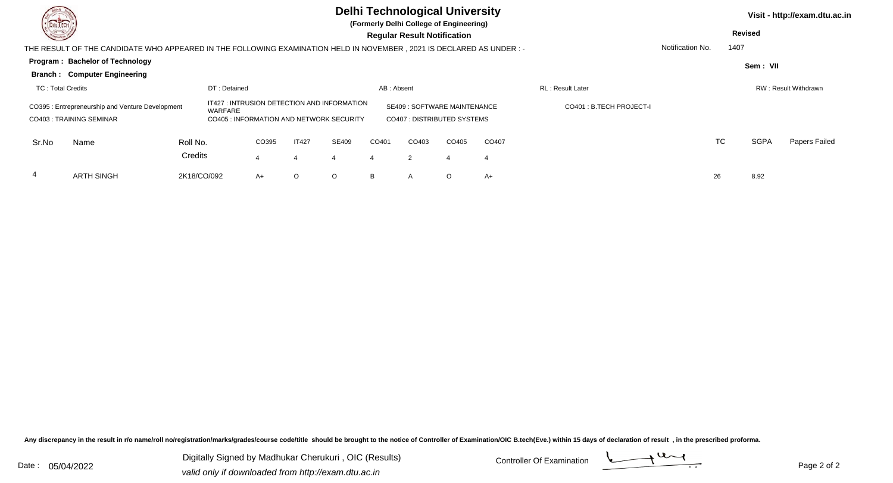| <b>DELTECH</b><br><b>Consulton</b> |                                                                                                                      |                     |                                                                                                    |       |                |         |            | <b>Delhi Technological University</b><br>(Formerly Delhi College of Engineering)<br><b>Regular Result Notification</b> |         |       |                          |                  |           | <b>Revised</b> | Visit - http://exam.dtu.ac.in |
|------------------------------------|----------------------------------------------------------------------------------------------------------------------|---------------------|----------------------------------------------------------------------------------------------------|-------|----------------|---------|------------|------------------------------------------------------------------------------------------------------------------------|---------|-------|--------------------------|------------------|-----------|----------------|-------------------------------|
|                                    | THE RESULT OF THE CANDIDATE WHO APPEARED IN THE FOLLOWING EXAMINATION HELD IN NOVEMBER, 2021 IS DECLARED AS UNDER :- |                     |                                                                                                    |       |                |         |            |                                                                                                                        |         |       |                          | Notification No. | 1407      |                |                               |
|                                    | Program: Bachelor of Technology                                                                                      |                     |                                                                                                    |       |                |         |            |                                                                                                                        |         |       |                          |                  |           | Sem: VII       |                               |
|                                    | <b>Branch: Computer Engineering</b>                                                                                  |                     |                                                                                                    |       |                |         |            |                                                                                                                        |         |       |                          |                  |           |                |                               |
| <b>TC: Total Credits</b>           |                                                                                                                      |                     | DT: Detained                                                                                       |       |                |         | AB: Absent |                                                                                                                        |         |       | <b>RL: Result Later</b>  |                  |           |                | RW: Result Withdrawn          |
|                                    | CO395: Entrepreneurship and Venture Development<br>CO403: TRAINING SEMINAR                                           |                     | IT427 : INTRUSION DETECTION AND INFORMATION<br>WARFARE<br>CO405 : INFORMATION AND NETWORK SECURITY |       |                |         |            | <b>SE409: SOFTWARE MAINTENANCE</b><br>CO407: DISTRIBUTED SYSTEMS                                                       |         |       | CO401 : B.TECH PROJECT-I |                  |           |                |                               |
| Sr.No                              | Name                                                                                                                 | Roll No.<br>Credits |                                                                                                    | CO395 | <b>IT427</b>   | SE409   | CO401      | CO403                                                                                                                  | CO405   | CO407 |                          |                  | <b>TC</b> | <b>SGPA</b>    | Papers Failed                 |
|                                    |                                                                                                                      |                     |                                                                                                    |       | $\overline{4}$ |         |            | 2                                                                                                                      |         | -4    |                          |                  |           |                |                               |
| 4                                  | <b>ARTH SINGH</b>                                                                                                    | 2K18/CO/092         |                                                                                                    | $A+$  | O              | $\circ$ | B          | A                                                                                                                      | $\circ$ | A+    |                          |                  | 26        | 8.92           |                               |

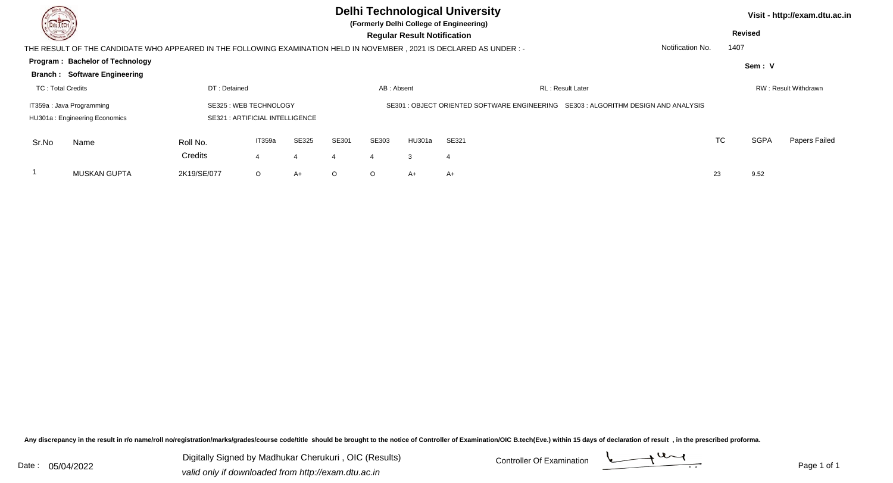| DEL TECH                             |                                                                                                                       |                     |                                 |            |         |            |                                    | <b>Delhi Technological University</b><br>(Formerly Delhi College of Engineering)   |                  |      |                | Visit - http://exam.dtu.ac.in |
|--------------------------------------|-----------------------------------------------------------------------------------------------------------------------|---------------------|---------------------------------|------------|---------|------------|------------------------------------|------------------------------------------------------------------------------------|------------------|------|----------------|-------------------------------|
| <u>in android and a strong group</u> |                                                                                                                       |                     |                                 |            |         |            | <b>Regular Result Notification</b> |                                                                                    |                  |      | <b>Revised</b> |                               |
|                                      | THE RESULT OF THE CANDIDATE WHO APPEARED IN THE FOLLOWING EXAMINATION HELD IN NOVEMBER , 2021 IS DECLARED AS UNDER :- |                     |                                 |            |         |            |                                    |                                                                                    | Notification No. | 1407 |                |                               |
|                                      | <b>Program: Bachelor of Technology</b>                                                                                |                     |                                 |            |         |            |                                    |                                                                                    |                  |      | Sem: V         |                               |
|                                      | <b>Branch: Software Engineering</b>                                                                                   |                     |                                 |            |         |            |                                    |                                                                                    |                  |      |                |                               |
| TC: Total Credits                    |                                                                                                                       | DT: Detained        |                                 |            |         | AB: Absent |                                    | <b>RL: Result Later</b>                                                            |                  |      |                | RW: Result Withdrawn          |
|                                      | IT359a : Java Programming                                                                                             |                     | SE325 : WEB TECHNOLOGY          |            |         |            |                                    | SE301 : OBJECT ORIENTED SOFTWARE ENGINEERING SE303 : ALGORITHM DESIGN AND ANALYSIS |                  |      |                |                               |
|                                      | HU301a: Engineering Economics                                                                                         |                     | SE321 : ARTIFICIAL INTELLIGENCE |            |         |            |                                    |                                                                                    |                  |      |                |                               |
| Sr.No                                | Name                                                                                                                  | Roll No.<br>Credits | IT359a                          | SE325<br>4 | SE301   | SE303<br>Δ | HU301a<br>3                        | SE321<br>4                                                                         |                  | TC   | <b>SGPA</b>    | Papers Failed                 |
|                                      | MUSKAN GUPTA                                                                                                          | 2K19/SE/077         | $\circ$                         | A+         | $\circ$ | $\circ$    | A+                                 | $A+$                                                                               | 23               |      | 9.52           |                               |

Digitally Signed by Madhukar Cherukuri, OIC (Results) Controller Of Examination Controller Of Examination Digitally Signed by Madhukar Cherukuri , OIC (Results)valid only if downloaded from http://exam.dtu.ac.in

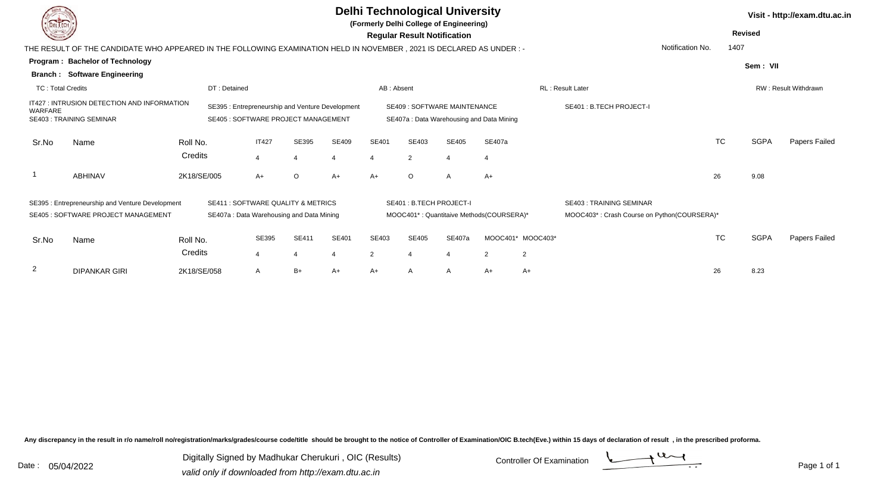| <b>DELTECH</b>           |                                                                                                                      |             |                                            |                         |                                          |                                                  |                |                                    | <b>Delhi Technological University</b><br>(Formerly Delhi College of Engineering) |                                          |                   |                                             |                  |           |                | Visit - http://exam.dtu.ac.in |
|--------------------------|----------------------------------------------------------------------------------------------------------------------|-------------|--------------------------------------------|-------------------------|------------------------------------------|--------------------------------------------------|----------------|------------------------------------|----------------------------------------------------------------------------------|------------------------------------------|-------------------|---------------------------------------------|------------------|-----------|----------------|-------------------------------|
|                          |                                                                                                                      |             |                                            |                         |                                          |                                                  |                | <b>Regular Result Notification</b> |                                                                                  |                                          |                   |                                             |                  |           | <b>Revised</b> |                               |
|                          | THE RESULT OF THE CANDIDATE WHO APPEARED IN THE FOLLOWING EXAMINATION HELD IN NOVEMBER, 2021 IS DECLARED AS UNDER :- |             |                                            |                         |                                          |                                                  |                |                                    |                                                                                  |                                          |                   |                                             | Notification No. | 1407      |                |                               |
|                          | Program: Bachelor of Technology                                                                                      |             |                                            |                         |                                          |                                                  |                |                                    |                                                                                  |                                          |                   |                                             |                  |           | Sem: VII       |                               |
| Branch :                 | <b>Software Engineering</b>                                                                                          |             |                                            |                         |                                          |                                                  |                |                                    |                                                                                  |                                          |                   |                                             |                  |           |                |                               |
| <b>TC: Total Credits</b> |                                                                                                                      |             | DT: Detained                               |                         |                                          |                                                  | AB: Absent     |                                    |                                                                                  |                                          |                   | <b>RL: Result Later</b>                     |                  |           |                | RW: Result Withdrawn          |
| WARFARE                  | IT427 : INTRUSION DETECTION AND INFORMATION                                                                          |             |                                            |                         |                                          | SE395 : Entrepreneurship and Venture Development |                |                                    | <b>SE409: SOFTWARE MAINTENANCE</b>                                               |                                          |                   | SE401 : B.TECH PROJECT-I                    |                  |           |                |                               |
|                          | <b>SE403: TRAINING SEMINAR</b>                                                                                       |             | <b>SE405 : SOFTWARE PROJECT MANAGEMENT</b> |                         |                                          |                                                  |                |                                    |                                                                                  | SE407a: Data Warehousing and Data Mining |                   |                                             |                  |           |                |                               |
| Sr.No                    | Name                                                                                                                 | Roll No.    |                                            | <b>IT427</b>            | SE395                                    | <b>SE409</b>                                     | SE401          | SE403                              | SE405                                                                            | SE407a                                   |                   |                                             |                  | <b>TC</b> | <b>SGPA</b>    | Papers Failed                 |
|                          |                                                                                                                      | Credits     |                                            | $\overline{4}$          | 4                                        | 4                                                | $\overline{4}$ | $\overline{2}$                     | $\overline{4}$                                                                   |                                          |                   |                                             |                  |           |                |                               |
|                          | ABHINAV                                                                                                              | 2K18/SE/005 |                                            | $A+$                    | $\circ$                                  | $A+$                                             | A+             | $\circ$                            | $\mathsf{A}$                                                                     | $A+$                                     |                   |                                             |                  | 26        | 9.08           |                               |
|                          | SE395: Entrepreneurship and Venture Development                                                                      |             |                                            |                         | SE411 : SOFTWARE QUALITY & METRICS       |                                                  |                | SE401: B.TECH PROJECT-I            |                                                                                  |                                          |                   | <b>SE403: TRAINING SEMINAR</b>              |                  |           |                |                               |
|                          | <b>SE405 : SOFTWARE PROJECT MANAGEMENT</b>                                                                           |             |                                            |                         | SE407a: Data Warehousing and Data Mining |                                                  |                |                                    |                                                                                  | MOOC401*: Quantitaive Methods(COURSERA)* |                   | MOOC403*: Crash Course on Python(COURSERA)* |                  |           |                |                               |
| Sr.No                    | Name                                                                                                                 | Roll No.    |                                            | SE395                   | <b>SE411</b>                             | <b>SE401</b>                                     | SE403          | SE405                              | <b>SE407a</b>                                                                    |                                          | MOOC401* MOOC403* |                                             |                  | <b>TC</b> | <b>SGPA</b>    | Papers Failed                 |
|                          |                                                                                                                      | Credits     |                                            | $\overline{\mathbf{A}}$ | 4                                        | $\overline{4}$                                   | $\overline{2}$ |                                    | $\boldsymbol{\Delta}$                                                            | 2                                        | $\overline{2}$    |                                             |                  |           |                |                               |
| 2                        | <b>DIPANKAR GIRI</b>                                                                                                 | 2K18/SE/058 |                                            | $\mathsf{A}$            | B+                                       | $A+$                                             | A+             | A                                  | A                                                                                | A+                                       | $A+$              |                                             |                  | 26        | 8.23           |                               |